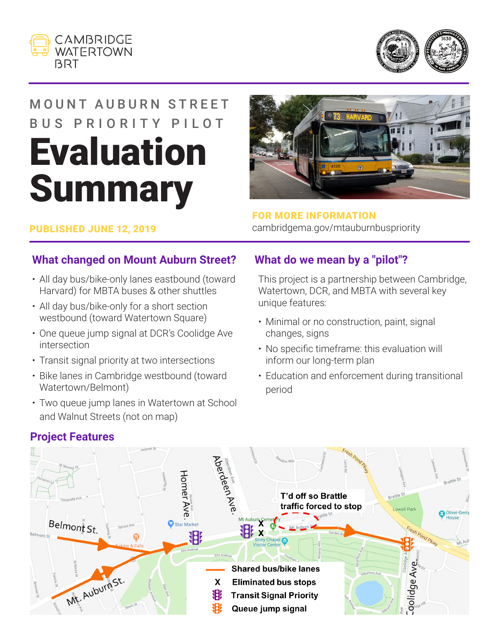



# MOUNT AUBURN STREET BUS PRIORITY PILOT **Evaluation Summary**



#### PUBLISHED JUNE 12, 2019

FOR MORE INFORMATION cambridgema.gov/mtauburnbuspriority

#### **What changed on Mount Auburn Street?**

- All day bus/bike-only lanes eastbound (toward Harvard) for MBTA buses & other shuttles
- All day bus/bike-only for a short section westbound (toward Watertown Square)
- One queue jump signal at DCR's Coolidge Ave intersection
- Transit signal priority at two intersections
- Bike lanes in Cambridge westbound (toward Watertown/Belmont)
- Two queue jump lanes in Watertown at School and Walnut Streets (not on map)

#### **What do we mean by a "pilot"?**

This project is a partnership between Cambridge, Watertown, DCR, and MBTA with several key unique features:

- Minimal or no construction, paint, signal changes, signs
- No specific timeframe: this evaluation will inform our long-term plan
- Education and enforcement during transitional period



### **Project Features**